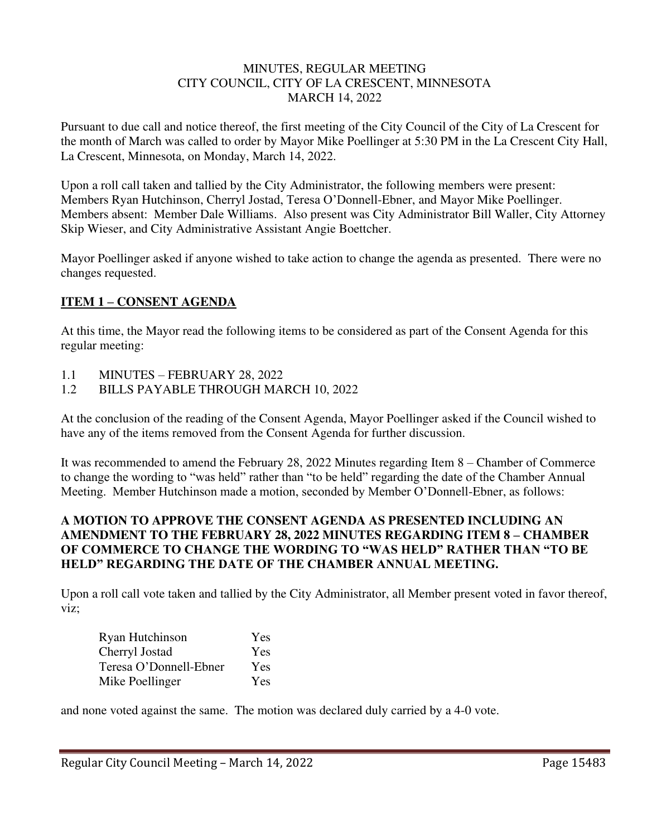#### MINUTES, REGULAR MEETING CITY COUNCIL, CITY OF LA CRESCENT, MINNESOTA MARCH 14, 2022

Pursuant to due call and notice thereof, the first meeting of the City Council of the City of La Crescent for the month of March was called to order by Mayor Mike Poellinger at 5:30 PM in the La Crescent City Hall, La Crescent, Minnesota, on Monday, March 14, 2022.

Upon a roll call taken and tallied by the City Administrator, the following members were present: Members Ryan Hutchinson, Cherryl Jostad, Teresa O'Donnell-Ebner, and Mayor Mike Poellinger. Members absent: Member Dale Williams. Also present was City Administrator Bill Waller, City Attorney Skip Wieser, and City Administrative Assistant Angie Boettcher.

Mayor Poellinger asked if anyone wished to take action to change the agenda as presented. There were no changes requested.

# **ITEM 1 – CONSENT AGENDA**

At this time, the Mayor read the following items to be considered as part of the Consent Agenda for this regular meeting:

- 1.1 MINUTES FEBRUARY 28, 2022
- 1.2 BILLS PAYABLE THROUGH MARCH 10, 2022

At the conclusion of the reading of the Consent Agenda, Mayor Poellinger asked if the Council wished to have any of the items removed from the Consent Agenda for further discussion.

It was recommended to amend the February 28, 2022 Minutes regarding Item 8 – Chamber of Commerce to change the wording to "was held" rather than "to be held" regarding the date of the Chamber Annual Meeting. Member Hutchinson made a motion, seconded by Member O'Donnell-Ebner, as follows:

## **A MOTION TO APPROVE THE CONSENT AGENDA AS PRESENTED INCLUDING AN AMENDMENT TO THE FEBRUARY 28, 2022 MINUTES REGARDING ITEM 8 – CHAMBER OF COMMERCE TO CHANGE THE WORDING TO "WAS HELD" RATHER THAN "TO BE HELD" REGARDING THE DATE OF THE CHAMBER ANNUAL MEETING.**

Upon a roll call vote taken and tallied by the City Administrator, all Member present voted in favor thereof, viz;

| Ryan Hutchinson        | Yes        |
|------------------------|------------|
| Cherryl Jostad         | <b>Yes</b> |
| Teresa O'Donnell-Ebner | Yes        |
| Mike Poellinger        | Yes        |

and none voted against the same. The motion was declared duly carried by a 4-0 vote.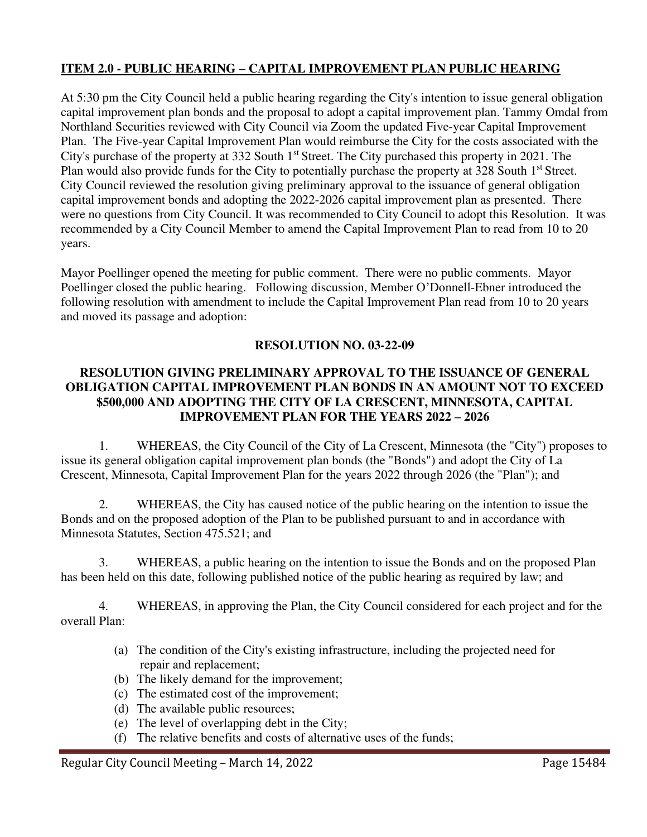# **ITEM 2.0 - PUBLIC HEARING – CAPITAL IMPROVEMENT PLAN PUBLIC HEARING**

At 5:30 pm the City Council held a public hearing regarding the City's intention to issue general obligation capital improvement plan bonds and the proposal to adopt a capital improvement plan. Tammy Omdal from Northland Securities reviewed with City Council via Zoom the updated Five-year Capital Improvement Plan. The Five-year Capital Improvement Plan would reimburse the City for the costs associated with the City's purchase of the property at 332 South 1<sup>st</sup> Street. The City purchased this property in 2021. The Plan would also provide funds for the City to potentially purchase the property at 328 South 1<sup>st</sup> Street. City Council reviewed the resolution giving preliminary approval to the issuance of general obligation capital improvement bonds and adopting the 2022-2026 capital improvement plan as presented. There were no questions from City Council. It was recommended to City Council to adopt this Resolution. It was recommended by a City Council Member to amend the Capital Improvement Plan to read from 10 to 20 years.

Mayor Poellinger opened the meeting for public comment. There were no public comments. Mayor Poellinger closed the public hearing. Following discussion, Member O'Donnell-Ebner introduced the following resolution with amendment to include the Capital Improvement Plan read from 10 to 20 years and moved its passage and adoption:

### **RESOLUTION NO. 03-22-09**

## **RESOLUTION GIVING PRELIMINARY APPROVAL TO THE ISSUANCE OF GENERAL OBLIGATION CAPITAL IMPROVEMENT PLAN BONDS IN AN AMOUNT NOT TO EXCEED \$500,000 AND ADOPTING THE CITY OF LA CRESCENT, MINNESOTA, CAPITAL IMPROVEMENT PLAN FOR THE YEARS 2022 – 2026**

1. WHEREAS, the City Council of the City of La Crescent, Minnesota (the "City") proposes to issue its general obligation capital improvement plan bonds (the "Bonds") and adopt the City of La Crescent, Minnesota, Capital Improvement Plan for the years 2022 through 2026 (the "Plan"); and

2. WHEREAS, the City has caused notice of the public hearing on the intention to issue the Bonds and on the proposed adoption of the Plan to be published pursuant to and in accordance with Minnesota Statutes, Section 475.521; and

3. WHEREAS, a public hearing on the intention to issue the Bonds and on the proposed Plan has been held on this date, following published notice of the public hearing as required by law; and

4. WHEREAS, in approving the Plan, the City Council considered for each project and for the overall Plan:

- (a) The condition of the City's existing infrastructure, including the projected need for repair and replacement;
- (b) The likely demand for the improvement;
- (c) The estimated cost of the improvement;
- (d) The available public resources;
- (e) The level of overlapping debt in the City;
- (f) The relative benefits and costs of alternative uses of the funds;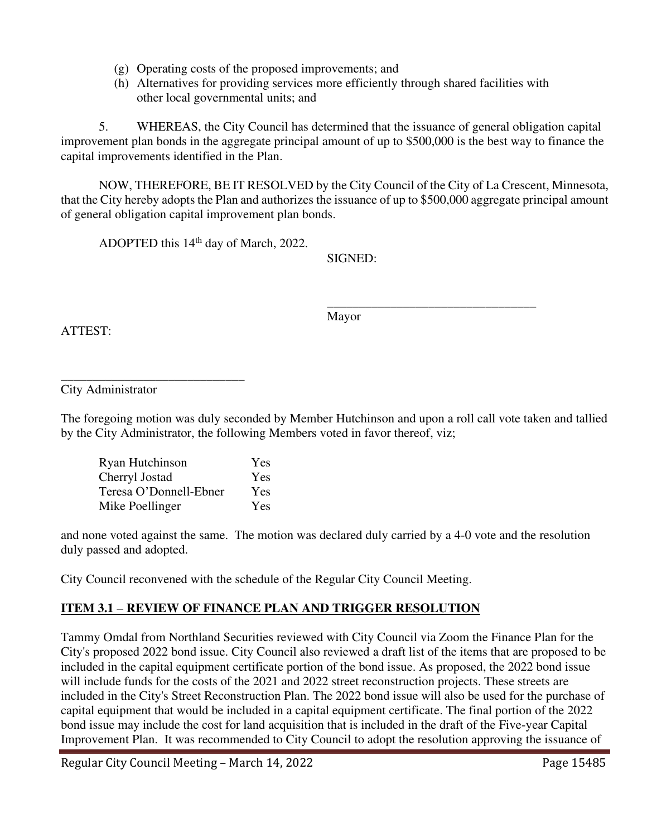- (g) Operating costs of the proposed improvements; and
- (h) Alternatives for providing services more efficiently through shared facilities with other local governmental units; and

5. WHEREAS, the City Council has determined that the issuance of general obligation capital improvement plan bonds in the aggregate principal amount of up to \$500,000 is the best way to finance the capital improvements identified in the Plan.

NOW, THEREFORE, BE IT RESOLVED by the City Council of the City of La Crescent, Minnesota, that the City hereby adopts the Plan and authorizes the issuance of up to \$500,000 aggregate principal amount of general obligation capital improvement plan bonds.

ADOPTED this 14<sup>th</sup> day of March, 2022.

SIGNED:

 $\overline{\phantom{a}}$  , and the contract of the contract of the contract of the contract of the contract of the contract of the contract of the contract of the contract of the contract of the contract of the contract of the contrac Mayor

ATTEST:

City Administrator

\_\_\_\_\_\_\_\_\_\_\_\_\_\_\_\_\_\_\_\_\_\_\_\_\_\_\_\_\_

The foregoing motion was duly seconded by Member Hutchinson and upon a roll call vote taken and tallied by the City Administrator, the following Members voted in favor thereof, viz;

| Ryan Hutchinson        | Yes |
|------------------------|-----|
| Cherryl Jostad         | Yes |
| Teresa O'Donnell-Ebner | Yes |
| Mike Poellinger        | Yes |

and none voted against the same. The motion was declared duly carried by a 4-0 vote and the resolution duly passed and adopted.

City Council reconvened with the schedule of the Regular City Council Meeting.

# **ITEM 3.1 – REVIEW OF FINANCE PLAN AND TRIGGER RESOLUTION**

Tammy Omdal from Northland Securities reviewed with City Council via Zoom the Finance Plan for the City's proposed 2022 bond issue. City Council also reviewed a draft list of the items that are proposed to be included in the capital equipment certificate portion of the bond issue. As proposed, the 2022 bond issue will include funds for the costs of the 2021 and 2022 street reconstruction projects. These streets are included in the City's Street Reconstruction Plan. The 2022 bond issue will also be used for the purchase of capital equipment that would be included in a capital equipment certificate. The final portion of the 2022 bond issue may include the cost for land acquisition that is included in the draft of the Five-year Capital Improvement Plan. It was recommended to City Council to adopt the resolution approving the issuance of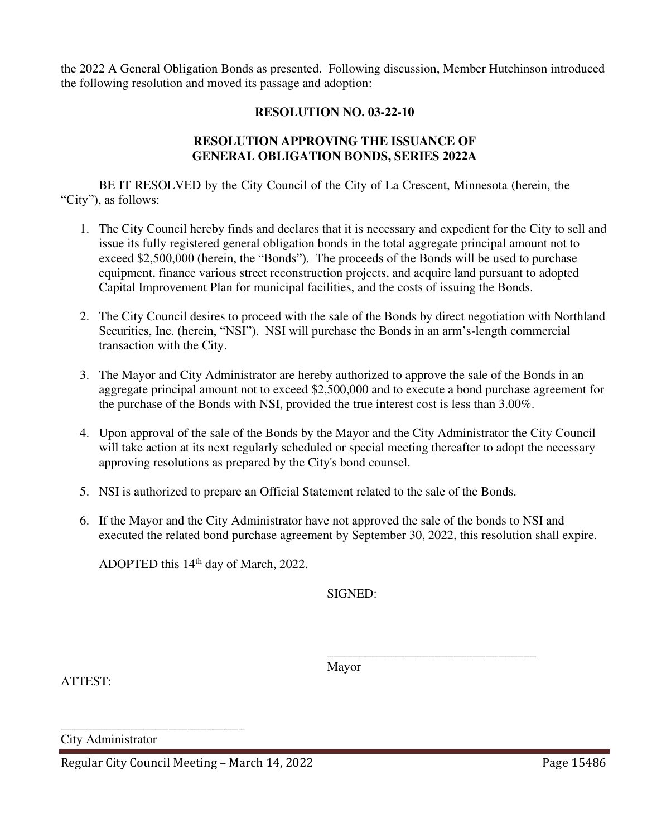the 2022 A General Obligation Bonds as presented. Following discussion, Member Hutchinson introduced the following resolution and moved its passage and adoption:

#### **RESOLUTION NO. 03-22-10**

#### **RESOLUTION APPROVING THE ISSUANCE OF GENERAL OBLIGATION BONDS, SERIES 2022A**

BE IT RESOLVED by the City Council of the City of La Crescent, Minnesota (herein, the "City"), as follows:

- 1. The City Council hereby finds and declares that it is necessary and expedient for the City to sell and issue its fully registered general obligation bonds in the total aggregate principal amount not to exceed \$2,500,000 (herein, the "Bonds"). The proceeds of the Bonds will be used to purchase equipment, finance various street reconstruction projects, and acquire land pursuant to adopted Capital Improvement Plan for municipal facilities, and the costs of issuing the Bonds.
- 2. The City Council desires to proceed with the sale of the Bonds by direct negotiation with Northland Securities, Inc. (herein, "NSI"). NSI will purchase the Bonds in an arm's-length commercial transaction with the City.
- 3. The Mayor and City Administrator are hereby authorized to approve the sale of the Bonds in an aggregate principal amount not to exceed \$2,500,000 and to execute a bond purchase agreement for the purchase of the Bonds with NSI, provided the true interest cost is less than 3.00%.
- 4. Upon approval of the sale of the Bonds by the Mayor and the City Administrator the City Council will take action at its next regularly scheduled or special meeting thereafter to adopt the necessary approving resolutions as prepared by the City's bond counsel.
- 5. NSI is authorized to prepare an Official Statement related to the sale of the Bonds.

 $\overline{\phantom{a}}$  , and the contract of the contract of the contract of the contract of the contract of the contract of the contract of the contract of the contract of the contract of the contract of the contract of the contrac

6. If the Mayor and the City Administrator have not approved the sale of the bonds to NSI and executed the related bond purchase agreement by September 30, 2022, this resolution shall expire.

ADOPTED this 14<sup>th</sup> day of March, 2022.

SIGNED:

ATTEST:

Mayor

City Administrator

\_\_\_\_\_\_\_\_\_\_\_\_\_\_\_\_\_\_\_\_\_\_\_\_\_\_\_\_\_

Regular City Council Meeting – March 14, 2022 Page 15486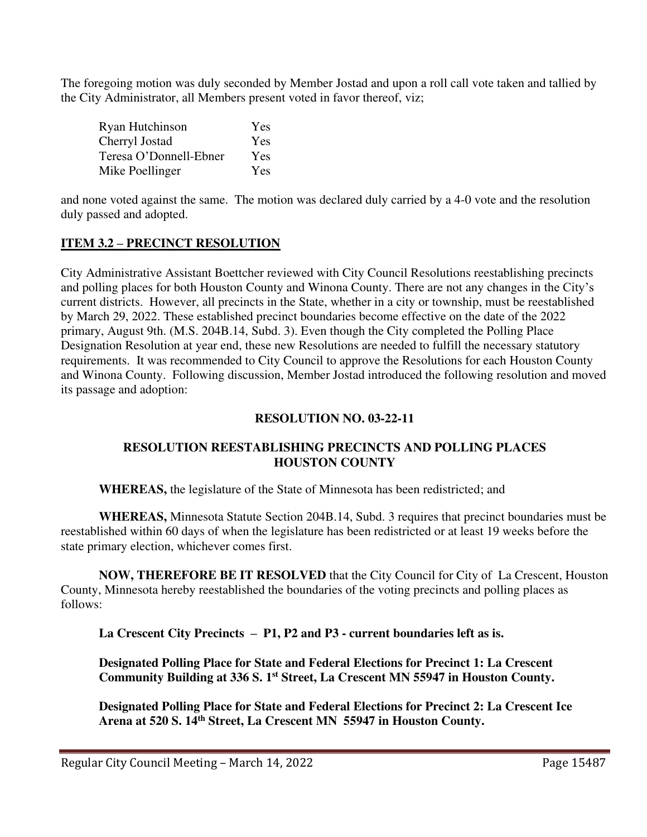The foregoing motion was duly seconded by Member Jostad and upon a roll call vote taken and tallied by the City Administrator, all Members present voted in favor thereof, viz;

| Ryan Hutchinson        | Yes |
|------------------------|-----|
| Cherryl Jostad         | Yes |
| Teresa O'Donnell-Ebner | Yes |
| Mike Poellinger        | Yes |

and none voted against the same. The motion was declared duly carried by a 4-0 vote and the resolution duly passed and adopted.

# **ITEM 3.2 – PRECINCT RESOLUTION**

City Administrative Assistant Boettcher reviewed with City Council Resolutions reestablishing precincts and polling places for both Houston County and Winona County. There are not any changes in the City's current districts. However, all precincts in the State, whether in a city or township, must be reestablished by March 29, 2022. These established precinct boundaries become effective on the date of the 2022 primary, August 9th. (M.S. 204B.14, Subd. 3). Even though the City completed the Polling Place Designation Resolution at year end, these new Resolutions are needed to fulfill the necessary statutory requirements. It was recommended to City Council to approve the Resolutions for each Houston County and Winona County. Following discussion, Member Jostad introduced the following resolution and moved its passage and adoption:

# **RESOLUTION NO. 03-22-11**

# **RESOLUTION REESTABLISHING PRECINCTS AND POLLING PLACES HOUSTON COUNTY**

**WHEREAS,** the legislature of the State of Minnesota has been redistricted; and

**WHEREAS,** Minnesota Statute Section 204B.14, Subd. 3 requires that precinct boundaries must be reestablished within 60 days of when the legislature has been redistricted or at least 19 weeks before the state primary election, whichever comes first.

**NOW, THEREFORE BE IT RESOLVED** that the City Council for City of La Crescent, Houston County, Minnesota hereby reestablished the boundaries of the voting precincts and polling places as follows:

**La Crescent City Precincts – P1, P2 and P3 - current boundaries left as is.** 

**Designated Polling Place for State and Federal Elections for Precinct 1: La Crescent Community Building at 336 S. 1st Street, La Crescent MN 55947 in Houston County.** 

**Designated Polling Place for State and Federal Elections for Precinct 2: La Crescent Ice Arena at 520 S. 14th Street, La Crescent MN 55947 in Houston County.**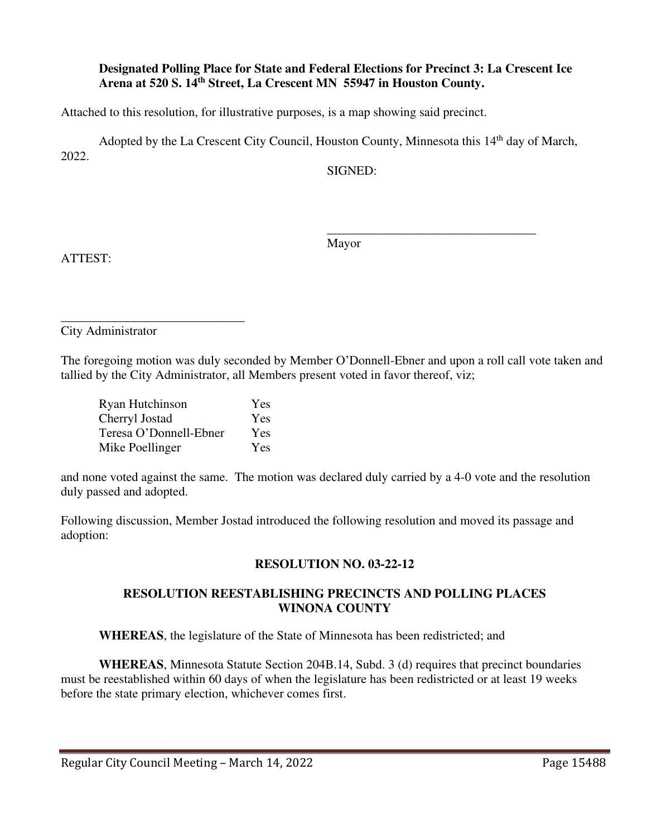#### **Designated Polling Place for State and Federal Elections for Precinct 3: La Crescent Ice Arena at 520 S. 14th Street, La Crescent MN 55947 in Houston County.**

Attached to this resolution, for illustrative purposes, is a map showing said precinct.

Adopted by the La Crescent City Council, Houston County, Minnesota this 14<sup>th</sup> day of March, 2022.

 $\overline{\phantom{a}}$  , and the contract of the contract of the contract of the contract of the contract of the contract of the contract of the contract of the contract of the contract of the contract of the contract of the contrac

SIGNED:

ATTEST:

Mayor

\_\_\_\_\_\_\_\_\_\_\_\_\_\_\_\_\_\_\_\_\_\_\_\_\_\_\_\_\_ City Administrator

The foregoing motion was duly seconded by Member O'Donnell-Ebner and upon a roll call vote taken and tallied by the City Administrator, all Members present voted in favor thereof, viz;

| Ryan Hutchinson        | <b>Yes</b> |
|------------------------|------------|
| Cherryl Jostad         | Yes        |
| Teresa O'Donnell-Ebner | Yes        |
| Mike Poellinger        | Yes        |

and none voted against the same. The motion was declared duly carried by a 4-0 vote and the resolution duly passed and adopted.

Following discussion, Member Jostad introduced the following resolution and moved its passage and adoption:

# **RESOLUTION NO. 03-22-12**

### **RESOLUTION REESTABLISHING PRECINCTS AND POLLING PLACES WINONA COUNTY**

**WHEREAS**, the legislature of the State of Minnesota has been redistricted; and

**WHEREAS**, Minnesota Statute Section 204B.14, Subd. 3 (d) requires that precinct boundaries must be reestablished within 60 days of when the legislature has been redistricted or at least 19 weeks before the state primary election, whichever comes first.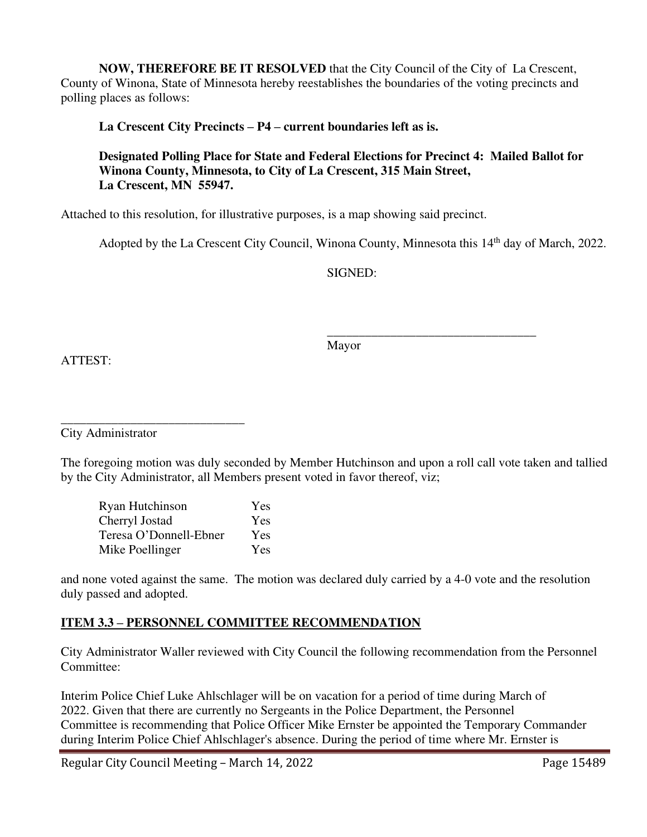**NOW, THEREFORE BE IT RESOLVED** that the City Council of the City of La Crescent, County of Winona, State of Minnesota hereby reestablishes the boundaries of the voting precincts and polling places as follows:

**La Crescent City Precincts – P4 – current boundaries left as is.** 

# **Designated Polling Place for State and Federal Elections for Precinct 4: Mailed Ballot for Winona County, Minnesota, to City of La Crescent, 315 Main Street, La Crescent, MN 55947.**

Attached to this resolution, for illustrative purposes, is a map showing said precinct.

Adopted by the La Crescent City Council, Winona County, Minnesota this 14<sup>th</sup> day of March, 2022.

SIGNED:

ATTEST:

Mayor

 $\overline{\phantom{a}}$  , and the contract of the contract of the contract of the contract of the contract of the contract of the contract of the contract of the contract of the contract of the contract of the contract of the contrac

\_\_\_\_\_\_\_\_\_\_\_\_\_\_\_\_\_\_\_\_\_\_\_\_\_\_\_\_\_ City Administrator

The foregoing motion was duly seconded by Member Hutchinson and upon a roll call vote taken and tallied by the City Administrator, all Members present voted in favor thereof, viz;

| Ryan Hutchinson        | Yes |
|------------------------|-----|
| Cherryl Jostad         | Yes |
| Teresa O'Donnell-Ebner | Yes |
| Mike Poellinger        | Yes |

and none voted against the same. The motion was declared duly carried by a 4-0 vote and the resolution duly passed and adopted.

# **ITEM 3.3 – PERSONNEL COMMITTEE RECOMMENDATION**

City Administrator Waller reviewed with City Council the following recommendation from the Personnel Committee:

Interim Police Chief Luke Ahlschlager will be on vacation for a period of time during March of 2022. Given that there are currently no Sergeants in the Police Department, the Personnel Committee is recommending that Police Officer Mike Ernster be appointed the Temporary Commander during Interim Police Chief Ahlschlager's absence. During the period of time where Mr. Ernster is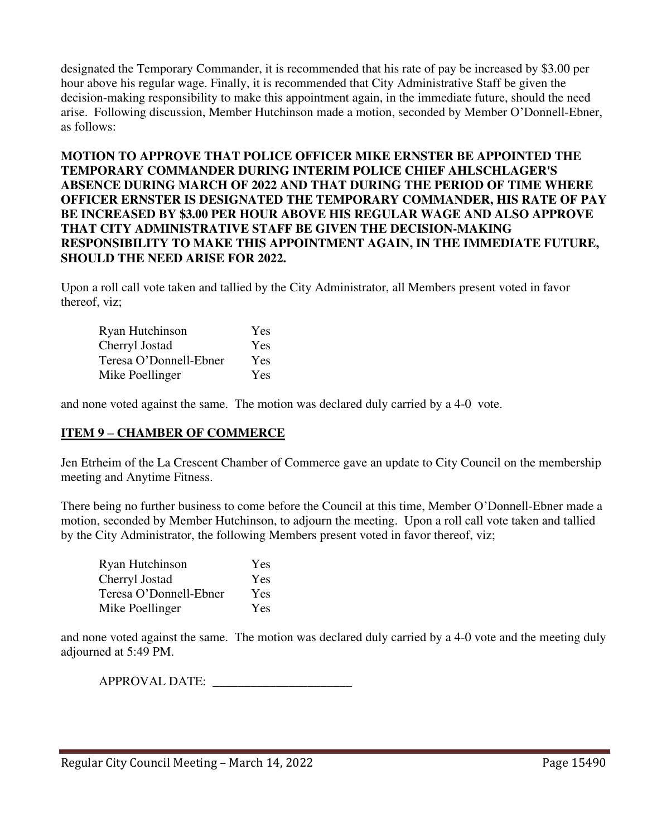designated the Temporary Commander, it is recommended that his rate of pay be increased by \$3.00 per hour above his regular wage. Finally, it is recommended that City Administrative Staff be given the decision-making responsibility to make this appointment again, in the immediate future, should the need arise. Following discussion, Member Hutchinson made a motion, seconded by Member O'Donnell-Ebner, as follows:

## **MOTION TO APPROVE THAT POLICE OFFICER MIKE ERNSTER BE APPOINTED THE TEMPORARY COMMANDER DURING INTERIM POLICE CHIEF AHLSCHLAGER'S ABSENCE DURING MARCH OF 2022 AND THAT DURING THE PERIOD OF TIME WHERE OFFICER ERNSTER IS DESIGNATED THE TEMPORARY COMMANDER, HIS RATE OF PAY BE INCREASED BY \$3.00 PER HOUR ABOVE HIS REGULAR WAGE AND ALSO APPROVE THAT CITY ADMINISTRATIVE STAFF BE GIVEN THE DECISION-MAKING RESPONSIBILITY TO MAKE THIS APPOINTMENT AGAIN, IN THE IMMEDIATE FUTURE, SHOULD THE NEED ARISE FOR 2022.**

Upon a roll call vote taken and tallied by the City Administrator, all Members present voted in favor thereof, viz;

| Ryan Hutchinson        | Yes |
|------------------------|-----|
| Cherryl Jostad         | Yes |
| Teresa O'Donnell-Ebner | Yes |
| Mike Poellinger        | Yes |

and none voted against the same. The motion was declared duly carried by a 4-0 vote.

### **ITEM 9 – CHAMBER OF COMMERCE**

Jen Etrheim of the La Crescent Chamber of Commerce gave an update to City Council on the membership meeting and Anytime Fitness.

There being no further business to come before the Council at this time, Member O'Donnell-Ebner made a motion, seconded by Member Hutchinson, to adjourn the meeting. Upon a roll call vote taken and tallied by the City Administrator, the following Members present voted in favor thereof, viz;

| Ryan Hutchinson        | Yes        |
|------------------------|------------|
| Cherryl Jostad         | Yes        |
| Teresa O'Donnell-Ebner | <b>Yes</b> |
| Mike Poellinger        | Yes        |

and none voted against the same. The motion was declared duly carried by a 4-0 vote and the meeting duly adjourned at 5:49 PM.

APPROVAL DATE: \_\_\_\_\_\_\_\_\_\_\_\_\_\_\_\_\_\_\_\_\_\_